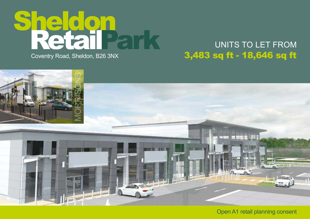

### UNITS TO LET FROM 3,483 sq ft - 18,646 sq ft



Open A1 retail planning consent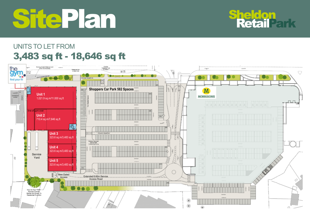# SitePlan

## **Sheldon<br>RetailPark**

### UNITS TO LET FROM 3,483 sq ft - 18,646 sq ft

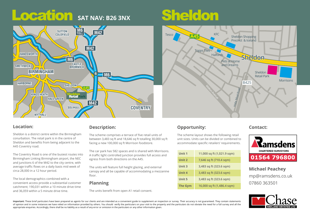## Location SAT NAV: B26 3NX<br>
Sheldon



#### **Location:**

Sheldon is a district centre within the Birmingham conurbation. The retail park is in the centre of Sheldon and benefits from being adjacent to the A45 Coventry road.

The Coventry Road is one of the busiest routes into Birmingham Linking Birmingham airport, the NEC and junctions 6 of the M42 to the city centre, with average traffic flows on a daily basis mid week of circa 28,000 in a 12 hour period.

The local demographics combined with a convenient access provide a substantial customer catchment; 190,031 within a 10 minute drive time and 36,059 within a 5 minute drive time.

#### **Description:**

The scheme comprises a terrace of five retail units of between 3,483 sq ft and 18,646 sq ft totalling 30,000 sq ft facing a new 100,000 sq ft Morrison foodstore.

The car park has 582 spaces and is shared with Morrisons. A traffic light controlled junction provides full access and egress from both directions on the A45.

The units will feature full height glazing, and external canopy and all be capable of accommodating a mezzanine floor

#### **Planning**

The units benefit from open A1 retail consent.

### **Opportunity:**

The scheme layout shows the following retail unit sizes. Units can be divided or combined to accommodate specific retailers' requirements.

| Unit 1         | 11,000 sq ft (1,021.9 sqm) |
|----------------|----------------------------|
| Unit 2         | 7,646 sq ft (710.4 sqm)    |
| Unit 3         | 3,483 sq ft (323.6 sqm)    |
| Unit 4         | 3,483 sq ft (323.6 sqm)    |
| Unit 5         | 3,483 sq ft (323.6 sqm)    |
| <b>The Gym</b> | 16,000 sq ft (1,486.4 sqm) |

#### **Contact:**



**Michael Peachey** mp@ramsdens.co.uk 07860 363501



**Important:** These brief particulars have been prepared as agents for our clients and are intended as a convenient guide to supplement an inspection or survey. Their accuracy is not guaranteed. They contain statements of opinion and in some instances we have relied on information provided by others. You should verify the particulars on your visit to the property and the particulars do not obviate the need for a full survey and all the appropriate enquiries. Accordingly, there shall be no liability as a result of any error or omission in the particulars or any other information given.